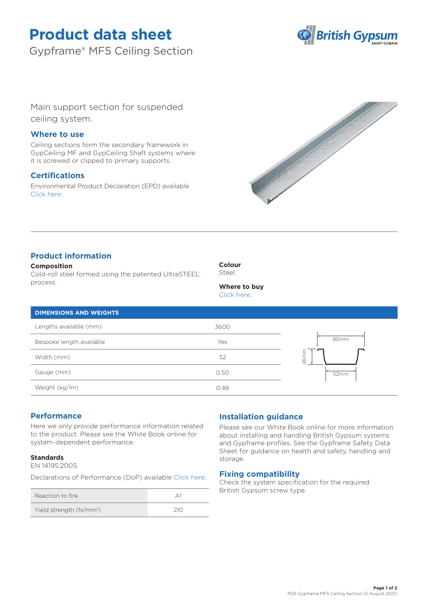# **Product data sheet**

Gypframe® MF5 Ceiling Section



Main support section for suspended ceiling system.

### **Where to use**

Ceiling sections form the secondary framework in GypCeiling MF and GypCeiling Shaft systems where it is screwed or clipped to primary supports.

## **Certifications**

Environmental Product Declaration (EPD) available [Click here.](https://www.british-gypsum.com/EPD)



## **Product information**

**Composition** Cold-roll steel formed using the patented UltraSTEEL® process.

**Colour** Steel.

## **Where to buy**

[Click here.](https://www.british-gypsum.com/stockist-locator)

| Lengths available (mm)   | 3600 |                       |
|--------------------------|------|-----------------------|
| Bespoke length available | Yes  | 80mm                  |
| Width (mm)               | 52   | ≍<br>26 <sub>rr</sub> |
| Gauge (mm)               | 0.50 | 52mm                  |
| Weight (kg/lm)           | 0.48 |                       |

## **Performance**

Here we only provide performance information related to the product. Please see the White Book online for system-dependent performance.

### **Standards**

EN 14195:2005.

Declarations of Performance (DoP) availabl[e Click here](https://www.british-gypsum.com/DoP).

| Reaction to fire                    |     |
|-------------------------------------|-----|
| Yield strength (N/mm <sup>2</sup> ) | 210 |

## **Installation guidance**

Please see our White Book online for more information about installing and handling British Gypsum systems and Gypframe profiles. See the Gypframe Safety Data Sheet for guidance on health and safety, handling and storage.

### **Fixing compatibility**

Check the system specification for the required British Gypsum screw type.